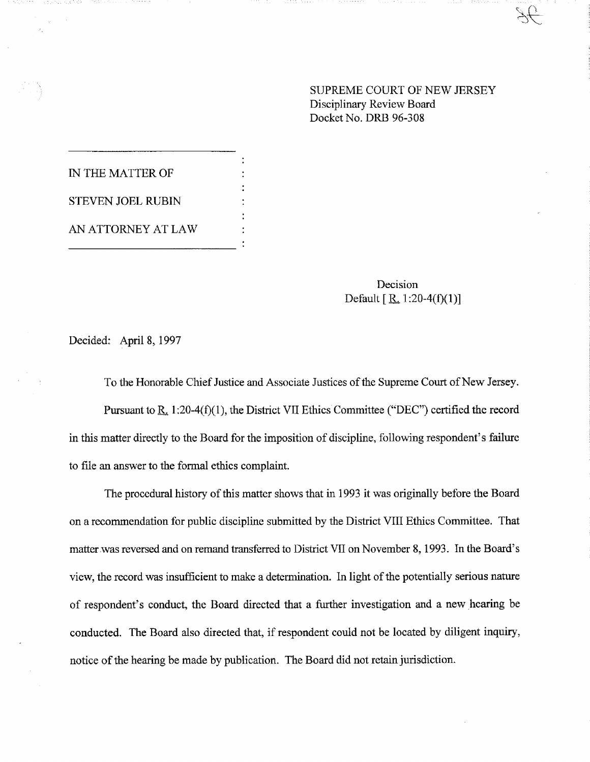## SUPREME COURT OF NEW JERSEY Disciplinary Review Board Docket No. DRB 96-308

IN THE MATTER OF STEVEN JOEL RUB1N AN ATTORNEY AT LAW

> Decision Default  $[R_1:20-4(f)(1)]$

Decided: April 8, 1997

To the Honorable Chief Justice and Associate Justices of the Supreme Court of New Jersey. Pursuant to R<sub>s.</sub> 1:20-4(f)(1), the District VII Ethics Committee ("DEC") certified the record in this matter directly to the Board for the imposition of discipline, following respondent's failure to file an answer to the formal ethics complaint.

The procedural history of this matter shows that in 1993 it was originally before the Board on a recommendation for public discipline submitted by the District VIII Ethics Committee. That matter.was reversed and on remand transferred to District VII on November 8, 1993. In the Board's view, the record was insufficient to make a determination. In light of the potentially serious nature of respondent's conduct, the Board directed that a further investigation and a new hearing be conducted. The Board also directed that, if respondent could not be located by diligent inquiry, notice of the hearing be made by publication. The Board did not retain jurisdiction.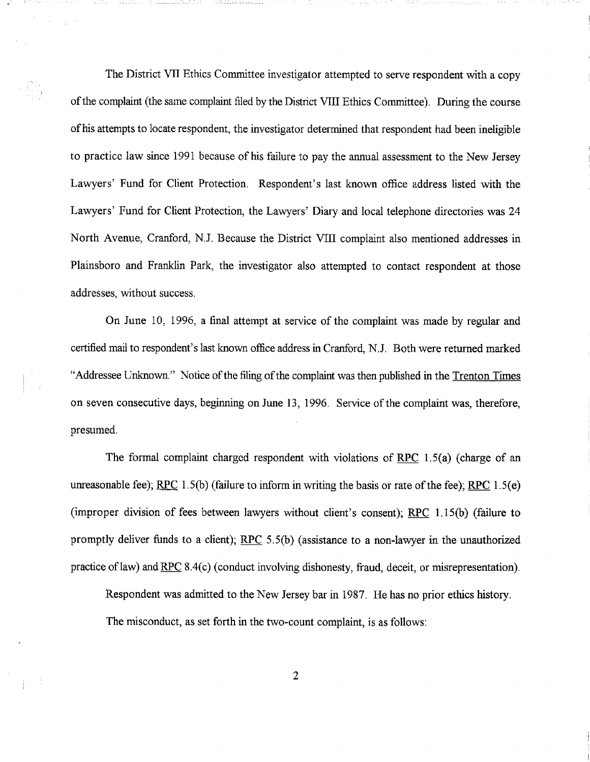The District VII Ethics Committee investigator attempted to serve respondent with a copy of the complaint (the same complaint filed by the District VIII Ethics Committee). During the course of his attempts to locate respondent, the investigator determined that respondent had been ineligible to practice law since 199t because of his failure to pay the annual assessment to the New Jersey Lawyers' Fund for Client Protection. Respondent's last known office address listed with the Lawyers' Fund for Client Protection, the Lawyers' Diary and local telephone directories was 24 North Avenue, Cranford, N.J. Because the District VIII complaint also mentioned addresses in Plainsboro and Franklin Park, the investigator also attempted to contact respondent at those addresses, without success.

On June 10, 1996, a final attempt at service of the complaint was made by regular and certified mail to respondent's last known office address in Cranford, N.J. Both were returned marked "Addressee Unknown." Notice of the filing of the complaint was then published in the Trenton Times on seven consecutive days, beginning on June 13, 1996. Service of the complaint was, therefore, presumed.

The formal complaint charged respondent with violations of RPC 1.5(a) (charge of an unreasonable fee); RPC  $1.5(b)$  (failure to inform in writing the basis or rate of the fee); RPC  $1.5(e)$ (improper division of fees between lawyers without client's consent); RPC 1.15(b) (failure to promptly deliver funds to a client);  $RPC$  5.5(b) (assistance to a non-lawyer in the unauthorized practice of law) and RPC 8.4(c) (conduct involving dishonesty, fraud, deceit, or misrepresentation).

Respondent was admitted to the New Jersey bar in 1987. He has no prior ethics history.

The misconduct, as set forth in the two-count complaint, is as follows: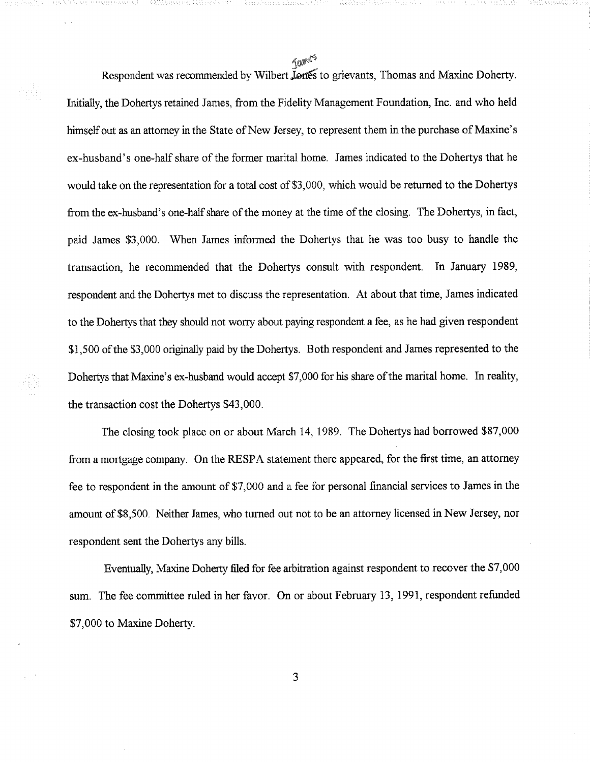Tames

hÃ

Respondent was recommended by Wilbert **Lenes** to grievants, Thomas and Maxine Doherty. Initially, the Dohertys retained James, from the Fidelity Management Foundation, Inc. and who held himself out as an attorney in the State of New Jersey, to represent them in the purchase of Maxine's ex-husband's one-half share of the former marital home. James indicated to the Dohertys that he would take on the representation for a total cost of \$3,000, which would be returned to the Dohertys from the ex-husband's one-half share of the money at the time of the closing. The Dohertys, in fact, paid James \$3,000. When James informed the Dohertys that he was too busy to handle the transaction, he recommended that the Dohertys consult with respondent. In January 1989, respondent and the Dohertys met to discuss the representation. At about that time, James indicated to the Dohertys that they should not worry about paying respondent a fee, as he had given respondent \$1,500 of the \$3,000 originally paid by the Dohertys. Both respondent and James represented to the Dohertys that Maxine's ex-husband would accept \$7,000 for his share of the marital home. In reality, the transaction cost the Dohertys \$43,000.

The closing took place on or about March 14, 1989. The Dohertys had borrowed \$87,000 from a mortgage company. On the RESPA statement there appeared, for the first time, an attorney fee to respondent in the amount of \$7,000 and a fee for personal financial services to James in the amount of \$8,500. Neither James, who turned out not to be an attorney licensed in New Jersey, nor respondent sent the Dohertys any bills.

Eventually, Maxine Doherty filed for fee arbitration against respondent to recover the \$7,000 sum. The fee committee ruled in her favor. On or about February 13, 1991, respondent refunded \$7,000 to Maxine Doherty.

3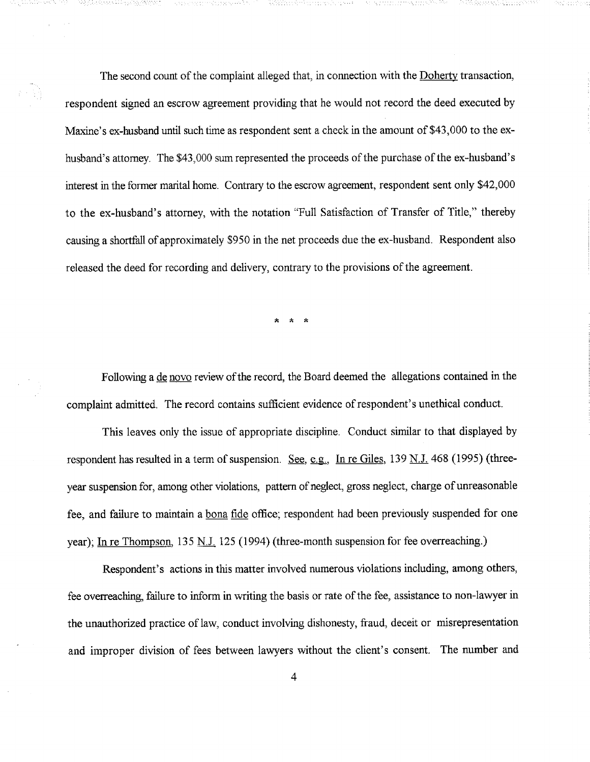The second count of the complaint alleged that, in connection with the Doherty transaction, respondent signed an escrow agreement providing that he would not record the deed executed by Maxine's ex-husband until such time as respondent sent a check in the amount of \$43,000 to the exhusband's attorney. The \$43,000 sum represented the proceeds of the purchase of the ex-husband's interest in the former marital home. Contrary to the escrow agreement, respondent sent only \$42,000 to the ex-husband's attorney, with the notation ~'Full Satisfaction of Transfer of Title," thereby causing a shortfall of approximately \$950 in the net proceeds due the ex-husband. Respondent also released the deed for recording and delivery, contrary to the provisions of the agreement.

经销

Following a de novo review of the record, the Board deemed the allegations contained in the complaint admitted. The record contains sufficient evidence of respondent's unethical conduct.

This leaves only the issue of appropriate discipline. Conduct similar to that displayed by respondent has resulted in a term of suspension. See, e.g., In re Giles, 139 N.J. 468 (1995) (threeyear suspension for, among other violations, pattern of neglect, gross neglect, charge of unreasonable fee, and failure to maintain a bona fide office; respondent had been previously suspended for one year); In re Thompson, 135 N.J. 125 (1994) (three-month suspension for fee overreaching.)

Respondent's actions in this matter involved numerous violations including, among others, fee overreaching, failure to inform in writing the basis or rate of the fee, assistance to non-lawyer in the unauthorized practice of law, conduct involving dishonesty, fraud, deceit or misrepresentation and improper division of fees between lawyers without the client's consent. The number and